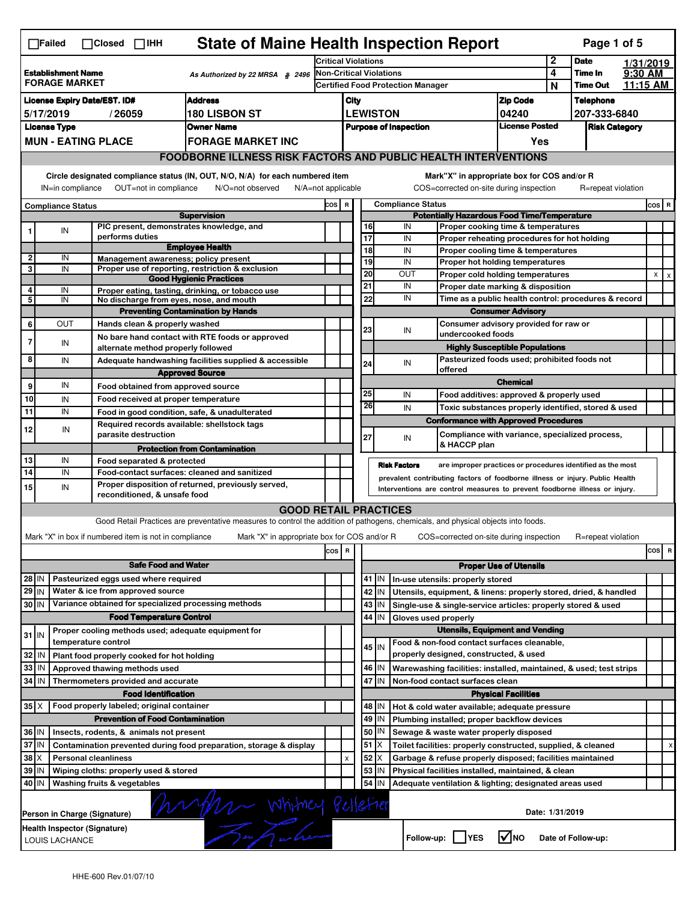|                                                                                       | <b>State of Maine Health Inspection Report</b><br>Page 1 of 5<br>∏Failed<br>$\Box$ Closed<br>$\Box$ IHH                                                               |                                                       |                                                                                                                                   |                                                                                   |                                   |          |                                                           |                                                                                        |                                                                                   |                  |                       |           |     |   |
|---------------------------------------------------------------------------------------|-----------------------------------------------------------------------------------------------------------------------------------------------------------------------|-------------------------------------------------------|-----------------------------------------------------------------------------------------------------------------------------------|-----------------------------------------------------------------------------------|-----------------------------------|----------|-----------------------------------------------------------|----------------------------------------------------------------------------------------|-----------------------------------------------------------------------------------|------------------|-----------------------|-----------|-----|---|
|                                                                                       |                                                                                                                                                                       |                                                       |                                                                                                                                   |                                                                                   | <b>Critical Violations</b>        |          |                                                           |                                                                                        |                                                                                   |                  | <b>Date</b>           | 1/31/2019 |     |   |
| <b>Establishment Name</b><br>As Authorized by 22 MRSA $$2496$<br><b>FORAGE MARKET</b> |                                                                                                                                                                       |                                                       |                                                                                                                                   | Non-Critical Violations<br><b>Certified Food Protection Manager</b>               |                                   |          |                                                           |                                                                                        | 4                                                                                 | Time In          | $9:30$ AM<br>11:15 AM |           |     |   |
|                                                                                       |                                                                                                                                                                       |                                                       |                                                                                                                                   |                                                                                   |                                   |          |                                                           |                                                                                        |                                                                                   | N                | <b>Time Out</b>       |           |     |   |
| <b>Address</b><br><b>License Expiry Date/EST. ID#</b>                                 |                                                                                                                                                                       |                                                       |                                                                                                                                   |                                                                                   | <b>Zip Code</b><br>City           |          |                                                           |                                                                                        |                                                                                   | <b>Telephone</b> |                       |           |     |   |
| <b>180 LISBON ST</b><br>5/17/2019<br>/26059                                           |                                                                                                                                                                       |                                                       |                                                                                                                                   | <b>LEWISTON</b><br>04240<br><b>License Posted</b><br><b>Purpose of Inspection</b> |                                   |          |                                                           |                                                                                        | 207-333-6840                                                                      |                  |                       |           |     |   |
|                                                                                       | <b>License Type</b>                                                                                                                                                   |                                                       | <b>Owner Name</b>                                                                                                                 |                                                                                   |                                   |          |                                                           |                                                                                        |                                                                                   |                  | <b>Risk Category</b>  |           |     |   |
|                                                                                       |                                                                                                                                                                       | <b>MUN - EATING PLACE</b>                             | <b>FORAGE MARKET INC</b>                                                                                                          |                                                                                   |                                   |          |                                                           |                                                                                        | Yes                                                                               |                  |                       |           |     |   |
|                                                                                       |                                                                                                                                                                       |                                                       | <b>FOODBORNE ILLNESS RISK FACTORS AND PUBLIC HEALTH INTERVENTIONS</b>                                                             |                                                                                   |                                   |          |                                                           |                                                                                        |                                                                                   |                  |                       |           |     |   |
|                                                                                       | Circle designated compliance status (IN, OUT, N/O, N/A) for each numbered item<br>OUT=not in compliance<br>IN=in compliance<br>N/O=not observed<br>N/A=not applicable |                                                       |                                                                                                                                   |                                                                                   |                                   |          |                                                           | Mark"X" in appropriate box for COS and/or R<br>COS=corrected on-site during inspection |                                                                                   |                  | R=repeat violation    |           |     |   |
| <b>Compliance Status</b>                                                              |                                                                                                                                                                       |                                                       |                                                                                                                                   |                                                                                   | <b>Compliance Status</b><br>COS R |          |                                                           |                                                                                        |                                                                                   |                  | $cos$ R               |           |     |   |
|                                                                                       |                                                                                                                                                                       |                                                       | <b>Supervision</b>                                                                                                                |                                                                                   |                                   |          |                                                           | <b>Potentially Hazardous Food Time/Temperature</b>                                     |                                                                                   |                  |                       |           |     |   |
| 1                                                                                     | IN                                                                                                                                                                    | performs duties                                       | PIC present, demonstrates knowledge, and                                                                                          |                                                                                   |                                   |          | 16<br>17                                                  | IN<br>IN                                                                               | Proper cooking time & temperatures                                                |                  |                       |           |     |   |
|                                                                                       |                                                                                                                                                                       |                                                       | <b>Employee Health</b>                                                                                                            |                                                                                   |                                   |          | 18                                                        | IN                                                                                     | Proper reheating procedures for hot holding<br>Proper cooling time & temperatures |                  |                       |           |     |   |
| $\overline{2}$                                                                        | IN                                                                                                                                                                    |                                                       | Management awareness; policy present                                                                                              |                                                                                   |                                   |          | 19                                                        | IN                                                                                     | Proper hot holding temperatures                                                   |                  |                       |           |     |   |
| 3                                                                                     | IN                                                                                                                                                                    |                                                       | Proper use of reporting, restriction & exclusion<br><b>Good Hygienic Practices</b>                                                |                                                                                   |                                   |          | 20                                                        | <b>OUT</b>                                                                             | Proper cold holding temperatures                                                  |                  |                       |           | X   |   |
| 4                                                                                     | IN                                                                                                                                                                    |                                                       | Proper eating, tasting, drinking, or tobacco use                                                                                  |                                                                                   |                                   |          | 21                                                        | IN                                                                                     | Proper date marking & disposition                                                 |                  |                       |           |     |   |
| 5                                                                                     | IN                                                                                                                                                                    |                                                       | No discharge from eyes, nose, and mouth                                                                                           |                                                                                   |                                   |          | 22                                                        | IN                                                                                     | Time as a public health control: procedures & record                              |                  |                       |           |     |   |
|                                                                                       |                                                                                                                                                                       |                                                       | <b>Preventing Contamination by Hands</b>                                                                                          |                                                                                   |                                   |          |                                                           |                                                                                        | <b>Consumer Advisory</b>                                                          |                  |                       |           |     |   |
| 6                                                                                     | OUT                                                                                                                                                                   | Hands clean & properly washed                         |                                                                                                                                   |                                                                                   |                                   |          | 23                                                        | IN                                                                                     | Consumer advisory provided for raw or                                             |                  |                       |           |     |   |
| $\overline{7}$                                                                        | IN                                                                                                                                                                    |                                                       | No bare hand contact with RTE foods or approved                                                                                   |                                                                                   |                                   |          |                                                           | undercooked foods                                                                      |                                                                                   |                  |                       |           |     |   |
|                                                                                       |                                                                                                                                                                       |                                                       | alternate method properly followed                                                                                                |                                                                                   |                                   |          |                                                           |                                                                                        | <b>Highly Susceptible Populations</b>                                             |                  |                       |           |     |   |
| 8                                                                                     | IN                                                                                                                                                                    |                                                       | Adequate handwashing facilities supplied & accessible                                                                             |                                                                                   |                                   |          | 24                                                        | IN                                                                                     | Pasteurized foods used; prohibited foods not                                      |                  |                       |           |     |   |
|                                                                                       |                                                                                                                                                                       |                                                       | <b>Approved Source</b>                                                                                                            |                                                                                   |                                   |          |                                                           | offered                                                                                | <b>Chemical</b>                                                                   |                  |                       |           |     |   |
| 9                                                                                     | IN                                                                                                                                                                    |                                                       | Food obtained from approved source                                                                                                |                                                                                   |                                   |          | 25                                                        | IN                                                                                     | Food additives: approved & properly used                                          |                  |                       |           |     |   |
| 10                                                                                    | IN                                                                                                                                                                    |                                                       | Food received at proper temperature                                                                                               |                                                                                   |                                   |          | 26                                                        | IN                                                                                     | Toxic substances properly identified, stored & used                               |                  |                       |           |     |   |
| 11                                                                                    | IN                                                                                                                                                                    |                                                       | Food in good condition, safe, & unadulterated                                                                                     |                                                                                   |                                   |          |                                                           | <b>Conformance with Approved Procedures</b>                                            |                                                                                   |                  |                       |           |     |   |
| 12                                                                                    | IN                                                                                                                                                                    | parasite destruction                                  | Required records available: shellstock tags                                                                                       |                                                                                   |                                   |          |                                                           |                                                                                        | Compliance with variance, specialized process,                                    |                  |                       |           |     |   |
|                                                                                       |                                                                                                                                                                       |                                                       |                                                                                                                                   |                                                                                   |                                   |          | 27                                                        | IN<br>& HACCP plan                                                                     |                                                                                   |                  |                       |           |     |   |
| 13                                                                                    | IN                                                                                                                                                                    | Food separated & protected                            | <b>Protection from Contamination</b>                                                                                              |                                                                                   |                                   |          |                                                           |                                                                                        |                                                                                   |                  |                       |           |     |   |
| 14                                                                                    | IN                                                                                                                                                                    |                                                       | Food-contact surfaces: cleaned and sanitized                                                                                      |                                                                                   |                                   |          |                                                           | <b>Risk Factors</b>                                                                    | are improper practices or procedures identified as the most                       |                  |                       |           |     |   |
| 15                                                                                    | IN                                                                                                                                                                    |                                                       | Proper disposition of returned, previously served,                                                                                |                                                                                   |                                   |          |                                                           | prevalent contributing factors of foodborne illness or injury. Public Health           |                                                                                   |                  |                       |           |     |   |
|                                                                                       |                                                                                                                                                                       | reconditioned, & unsafe food                          |                                                                                                                                   |                                                                                   |                                   |          |                                                           | Interventions are control measures to prevent foodborne illness or injury.             |                                                                                   |                  |                       |           |     |   |
|                                                                                       |                                                                                                                                                                       |                                                       | <b>GOOD RETAIL PRACTICES</b>                                                                                                      |                                                                                   |                                   |          |                                                           |                                                                                        |                                                                                   |                  |                       |           |     |   |
|                                                                                       |                                                                                                                                                                       |                                                       | Good Retail Practices are preventative measures to control the addition of pathogens, chemicals, and physical objects into foods. |                                                                                   |                                   |          |                                                           |                                                                                        |                                                                                   |                  |                       |           |     |   |
|                                                                                       |                                                                                                                                                                       | Mark "X" in box if numbered item is not in compliance | Mark "X" in appropriate box for COS and/or R                                                                                      |                                                                                   |                                   |          |                                                           | COS=corrected on-site during inspection                                                |                                                                                   |                  | R=repeat violation    |           |     |   |
|                                                                                       |                                                                                                                                                                       |                                                       |                                                                                                                                   | cos                                                                               | R                                 |          |                                                           |                                                                                        |                                                                                   |                  |                       |           | cos | R |
|                                                                                       |                                                                                                                                                                       |                                                       | <b>Safe Food and Water</b>                                                                                                        |                                                                                   |                                   |          |                                                           |                                                                                        | <b>Proper Use of Utensils</b>                                                     |                  |                       |           |     |   |
| 28 IN                                                                                 |                                                                                                                                                                       | Pasteurized eggs used where required                  |                                                                                                                                   |                                                                                   |                                   |          | 41 J IN                                                   | In-use utensils: properly stored                                                       |                                                                                   |                  |                       |           |     |   |
| $29$ IN                                                                               |                                                                                                                                                                       | Water & ice from approved source                      |                                                                                                                                   |                                                                                   |                                   |          | 42<br>IN                                                  | Utensils, equipment, & linens: properly stored, dried, & handled                       |                                                                                   |                  |                       |           |     |   |
| 30 IN                                                                                 |                                                                                                                                                                       |                                                       | Variance obtained for specialized processing methods                                                                              |                                                                                   |                                   |          | 43   IN                                                   | Single-use & single-service articles: properly stored & used                           |                                                                                   |                  |                       |           |     |   |
|                                                                                       |                                                                                                                                                                       |                                                       | <b>Food Temperature Control</b>                                                                                                   |                                                                                   |                                   |          | 44 IN                                                     | Gloves used properly                                                                   |                                                                                   |                  |                       |           |     |   |
|                                                                                       |                                                                                                                                                                       |                                                       | Proper cooling methods used; adequate equipment for                                                                               |                                                                                   |                                   |          |                                                           |                                                                                        | <b>Utensils, Equipment and Vending</b>                                            |                  |                       |           |     |   |
| $31$ IN                                                                               |                                                                                                                                                                       | temperature control                                   |                                                                                                                                   |                                                                                   |                                   |          | $45$ IN                                                   | Food & non-food contact surfaces cleanable,                                            |                                                                                   |                  |                       |           |     |   |
| 32                                                                                    | l IN                                                                                                                                                                  | Plant food properly cooked for hot holding            |                                                                                                                                   |                                                                                   |                                   |          |                                                           | properly designed, constructed, & used                                                 |                                                                                   |                  |                       |           |     |   |
| 33                                                                                    | l IN                                                                                                                                                                  | Approved thawing methods used                         |                                                                                                                                   |                                                                                   |                                   |          | 46 IN                                                     | Warewashing facilities: installed, maintained, & used; test strips                     |                                                                                   |                  |                       |           |     |   |
| 34                                                                                    | IN                                                                                                                                                                    | Thermometers provided and accurate                    |                                                                                                                                   |                                                                                   |                                   |          | 47<br>IN                                                  | Non-food contact surfaces clean                                                        |                                                                                   |                  |                       |           |     |   |
|                                                                                       |                                                                                                                                                                       | <b>Food Identification</b>                            |                                                                                                                                   |                                                                                   |                                   |          |                                                           |                                                                                        | <b>Physical Facilities</b>                                                        |                  |                       |           |     |   |
| $35$ $\times$                                                                         |                                                                                                                                                                       | Food properly labeled; original container             |                                                                                                                                   |                                                                                   |                                   |          | 48   IN                                                   | Hot & cold water available; adequate pressure                                          |                                                                                   |                  |                       |           |     |   |
|                                                                                       | <b>Prevention of Food Contamination</b>                                                                                                                               |                                                       |                                                                                                                                   |                                                                                   |                                   |          | 49 IN                                                     | Plumbing installed; proper backflow devices                                            |                                                                                   |                  |                       |           |     |   |
| 36 IN                                                                                 |                                                                                                                                                                       | Insects, rodents, & animals not present               |                                                                                                                                   |                                                                                   |                                   |          | 50<br>IN                                                  | Sewage & waste water properly disposed                                                 |                                                                                   |                  |                       |           |     |   |
|                                                                                       | 37 IN<br>Contamination prevented during food preparation, storage & display                                                                                           |                                                       |                                                                                                                                   |                                                                                   |                                   |          | $51$ $\times$                                             | Toilet facilities: properly constructed, supplied, & cleaned                           |                                                                                   |                  |                       |           |     | x |
| $38$ $\times$<br><b>Personal cleanliness</b>                                          |                                                                                                                                                                       |                                                       |                                                                                                                                   | X                                                                                 |                                   | 52<br>ΙX | Garbage & refuse properly disposed; facilities maintained |                                                                                        |                                                                                   |                  |                       |           |     |   |
| 39                                                                                    | ΙM                                                                                                                                                                    | Wiping cloths: properly used & stored                 |                                                                                                                                   |                                                                                   |                                   |          | 53<br>IN                                                  | Physical facilities installed, maintained, & clean                                     |                                                                                   |                  |                       |           |     |   |
| 40 IN                                                                                 |                                                                                                                                                                       | Washing fruits & vegetables                           |                                                                                                                                   |                                                                                   |                                   |          | 54<br>IN                                                  | Adequate ventilation & lighting; designated areas used                                 |                                                                                   |                  |                       |           |     |   |
| Muy Whitney Pulletier<br>Date: 1/31/2019<br>Person in Charge (Signature)              |                                                                                                                                                                       |                                                       |                                                                                                                                   |                                                                                   |                                   |          |                                                           |                                                                                        |                                                                                   |                  |                       |           |     |   |
|                                                                                       | Health Inspector (Signature)<br>$\sqrt{ }$ NO<br>Follow-up:     YES<br>Date of Follow-up:<br>LOUIS LACHANCE                                                           |                                                       |                                                                                                                                   |                                                                                   |                                   |          |                                                           |                                                                                        |                                                                                   |                  |                       |           |     |   |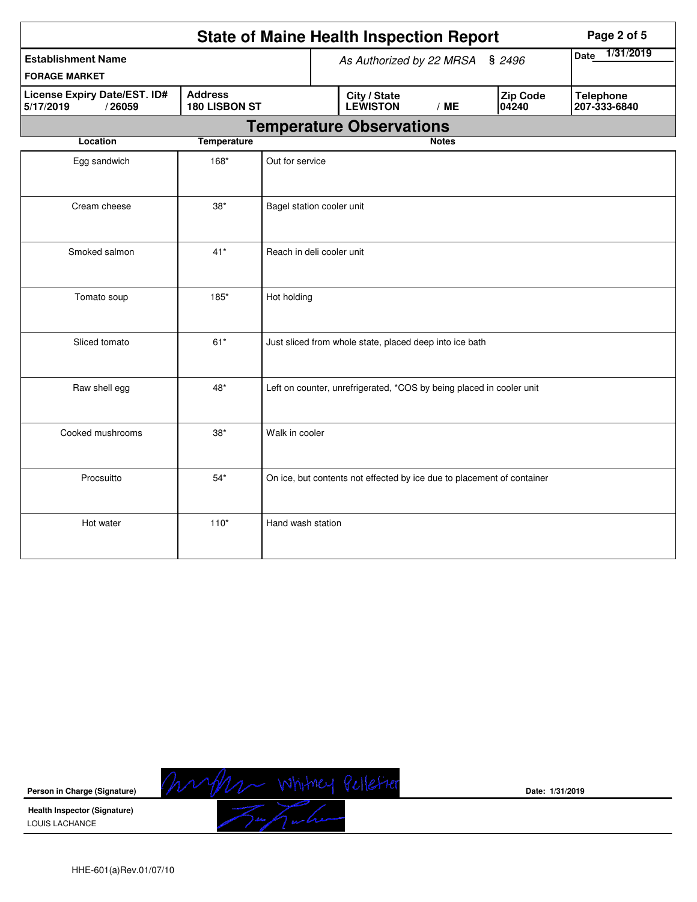|                                                                                        |                    |                          | <b>State of Maine Health Inspection Report</b>                         | Page 2 of 5  |                   |                                  |  |  |  |
|----------------------------------------------------------------------------------------|--------------------|--------------------------|------------------------------------------------------------------------|--------------|-------------------|----------------------------------|--|--|--|
| <b>Establishment Name</b>                                                              |                    | As Authorized by 22 MRSA | 1/31/2019<br><b>Date</b>                                               |              |                   |                                  |  |  |  |
| <b>FORAGE MARKET</b>                                                                   |                    |                          |                                                                        |              |                   |                                  |  |  |  |
| <b>Address</b><br>License Expiry Date/EST. ID#<br>180 LISBON ST<br>5/17/2019<br>/26059 |                    |                          | City / State<br><b>LEWISTON</b>                                        | /ME          | Zip Code<br>04240 | <b>Telephone</b><br>207-333-6840 |  |  |  |
|                                                                                        |                    |                          | <b>Temperature Observations</b>                                        |              |                   |                                  |  |  |  |
| Location                                                                               | <b>Temperature</b> |                          |                                                                        | <b>Notes</b> |                   |                                  |  |  |  |
| Egg sandwich                                                                           | 168*               | Out for service          |                                                                        |              |                   |                                  |  |  |  |
| Cream cheese<br>$38^{\ast}$                                                            |                    |                          | Bagel station cooler unit                                              |              |                   |                                  |  |  |  |
| $41*$<br>Smoked salmon                                                                 |                    |                          | Reach in deli cooler unit                                              |              |                   |                                  |  |  |  |
| Tomato soup<br>185*<br>Hot holding                                                     |                    |                          |                                                                        |              |                   |                                  |  |  |  |
| Sliced tomato<br>$61*$                                                                 |                    |                          | Just sliced from whole state, placed deep into ice bath                |              |                   |                                  |  |  |  |
| Raw shell egg                                                                          | 48*                |                          | Left on counter, unrefrigerated, *COS by being placed in cooler unit   |              |                   |                                  |  |  |  |
| Cooked mushrooms<br>$38^{\ast}$                                                        |                    |                          | Walk in cooler                                                         |              |                   |                                  |  |  |  |
| Procsuitto                                                                             | $54*$              |                          | On ice, but contents not effected by ice due to placement of container |              |                   |                                  |  |  |  |
| Hot water                                                                              | $110*$             | Hand wash station        |                                                                        |              |                   |                                  |  |  |  |



**Date: 1/31/2019**

**Health Inspector (Signature)**  LOUIS LACHANCE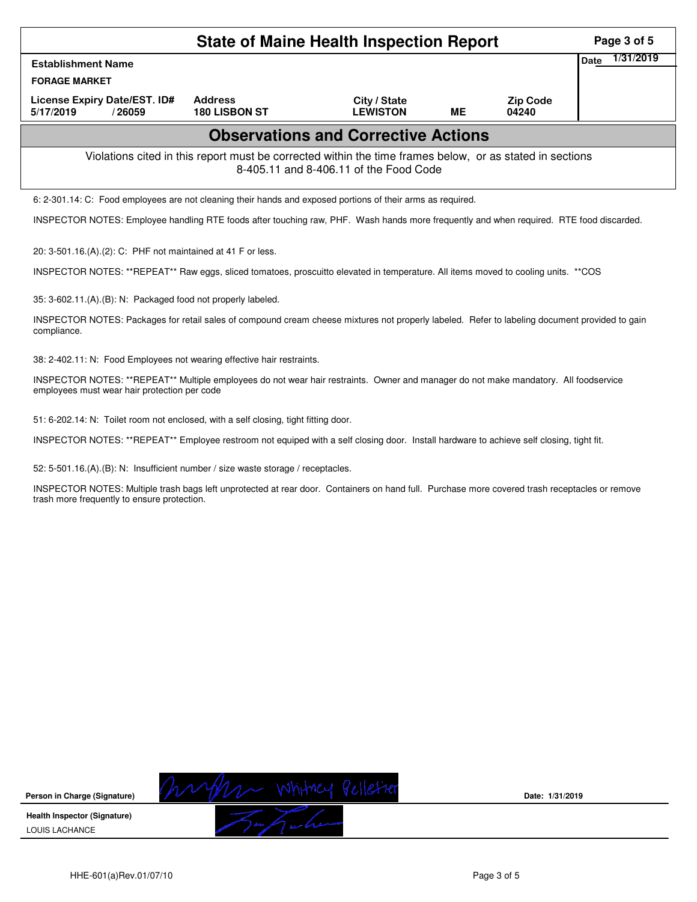| <b>State of Maine Health Inspection Report</b>                                                                                                     |                                        |                                            |           |                          |  |  |  |  |  |  |
|----------------------------------------------------------------------------------------------------------------------------------------------------|----------------------------------------|--------------------------------------------|-----------|--------------------------|--|--|--|--|--|--|
| <b>Establishment Name</b>                                                                                                                          |                                        |                                            |           |                          |  |  |  |  |  |  |
| <b>FORAGE MARKET</b>                                                                                                                               |                                        |                                            |           |                          |  |  |  |  |  |  |
| License Expiry Date/EST. ID#<br>5/17/2019<br>/26059                                                                                                | <b>Address</b><br><b>180 LISBON ST</b> | City / State<br><b>LEWISTON</b>            | <b>ME</b> | <b>Zip Code</b><br>04240 |  |  |  |  |  |  |
|                                                                                                                                                    |                                        | <b>Observations and Corrective Actions</b> |           |                          |  |  |  |  |  |  |
| Violations cited in this report must be corrected within the time frames below, or as stated in sections<br>8-405.11 and 8-406.11 of the Food Code |                                        |                                            |           |                          |  |  |  |  |  |  |
| 6: 2-301.14: C: Food employees are not cleaning their hands and exposed portions of their arms as required.                                        |                                        |                                            |           |                          |  |  |  |  |  |  |
| INSPECTOR NOTES: Employee handling RTE foods after touching raw, PHF. Wash hands more frequently and when required. RTE food discarded.            |                                        |                                            |           |                          |  |  |  |  |  |  |
| 20: 3-501.16.(A).(2): C: PHF not maintained at 41 F or less.                                                                                       |                                        |                                            |           |                          |  |  |  |  |  |  |
| INSPECTOR NOTES: **REPEAT** Raw eggs, sliced tomatoes, proscuitto elevated in temperature. All items moved to cooling units. **COS                 |                                        |                                            |           |                          |  |  |  |  |  |  |
| 35: 3-602.11.(A).(B): N: Packaged food not properly labeled.                                                                                       |                                        |                                            |           |                          |  |  |  |  |  |  |
| INICDECTOD NOTEC: Declasse for rateil soles of compound execute chases mintures not arough Upholed. Defer to lobeling desument provided to going   |                                        |                                            |           |                          |  |  |  |  |  |  |

INSPECTOR NOTES: Packages for retail sales of compound cream cheese mixtures not properly labeled. Refer to labeling document provided to gain compliance.

38: 2-402.11: N: Food Employees not wearing effective hair restraints.

INSPECTOR NOTES: \*\*REPEAT\*\* Multiple employees do not wear hair restraints. Owner and manager do not make mandatory. All foodservice employees must wear hair protection per code

51: 6-202.14: N: Toilet room not enclosed, with a self closing, tight fitting door.

INSPECTOR NOTES: \*\*REPEAT\*\* Employee restroom not equiped with a self closing door. Install hardware to achieve self closing, tight fit.

52: 5-501.16.(A).(B): N: Insufficient number / size waste storage / receptacles.

INSPECTOR NOTES: Multiple trash bags left unprotected at rear door. Containers on hand full. Purchase more covered trash receptacles or remove trash more frequently to ensure protection.



**Date: 1/31/2019**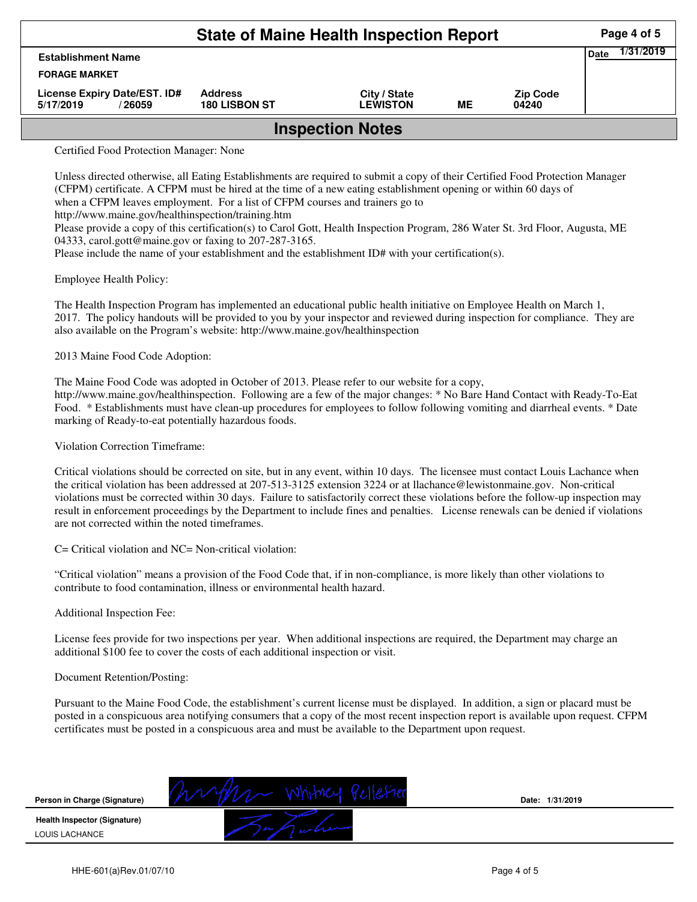| <b>State of Maine Health Inspection Report</b>                   |                                        |                                 |    |                          |  |  |  |  |  |
|------------------------------------------------------------------|----------------------------------------|---------------------------------|----|--------------------------|--|--|--|--|--|
| <b>Date</b><br><b>Establishment Name</b><br><b>FORAGE MARKET</b> |                                        |                                 |    |                          |  |  |  |  |  |
| License Expiry Date/EST. ID#<br>5/17/2019<br>/ 26059             | <b>Address</b><br><b>180 LISBON ST</b> | City / State<br><b>LEWISTON</b> | ME | <b>Zip Code</b><br>04240 |  |  |  |  |  |
| <b>Inspection Notes</b>                                          |                                        |                                 |    |                          |  |  |  |  |  |

Certified Food Protection Manager: None

Unless directed otherwise, all Eating Establishments are required to submit a copy of their Certified Food Protection Manager (CFPM) certificate. A CFPM must be hired at the time of a new eating establishment opening or within 60 days of when a CFPM leaves employment. For a list of CFPM courses and trainers go to

http://www.maine.gov/healthinspection/training.htm

Please provide a copy of this certification(s) to Carol Gott, Health Inspection Program, 286 Water St. 3rd Floor, Augusta, ME 04333, carol.gott@maine.gov or faxing to 207-287-3165.

Please include the name of your establishment and the establishment ID# with your certification(s).

Employee Health Policy:

The Health Inspection Program has implemented an educational public health initiative on Employee Health on March 1, 2017. The policy handouts will be provided to you by your inspector and reviewed during inspection for compliance. They are also available on the Program's website: http://www.maine.gov/healthinspection

2013 Maine Food Code Adoption:

The Maine Food Code was adopted in October of 2013. Please refer to our website for a copy,

http://www.maine.gov/healthinspection. Following are a few of the major changes: \* No Bare Hand Contact with Ready-To-Eat Food. \* Establishments must have clean-up procedures for employees to follow following vomiting and diarrheal events. \* Date marking of Ready-to-eat potentially hazardous foods.

Violation Correction Timeframe:

Critical violations should be corrected on site, but in any event, within 10 days. The licensee must contact Louis Lachance when the critical violation has been addressed at 207-513-3125 extension 3224 or at llachance@lewistonmaine.gov. Non-critical violations must be corrected within 30 days. Failure to satisfactorily correct these violations before the follow-up inspection may result in enforcement proceedings by the Department to include fines and penalties. License renewals can be denied if violations are not corrected within the noted timeframes.

C= Critical violation and NC= Non-critical violation:

"Critical violation" means a provision of the Food Code that, if in non-compliance, is more likely than other violations to contribute to food contamination, illness or environmental health hazard.

Additional Inspection Fee:

License fees provide for two inspections per year. When additional inspections are required, the Department may charge an additional \$100 fee to cover the costs of each additional inspection or visit.

## Document Retention/Posting:

Pursuant to the Maine Food Code, the establishment's current license must be displayed. In addition, a sign or placard must be posted in a conspicuous area notifying consumers that a copy of the most recent inspection report is available upon request. CFPM certificates must be posted in a conspicuous area and must be available to the Department upon request.



**Date: 1/31/2019**